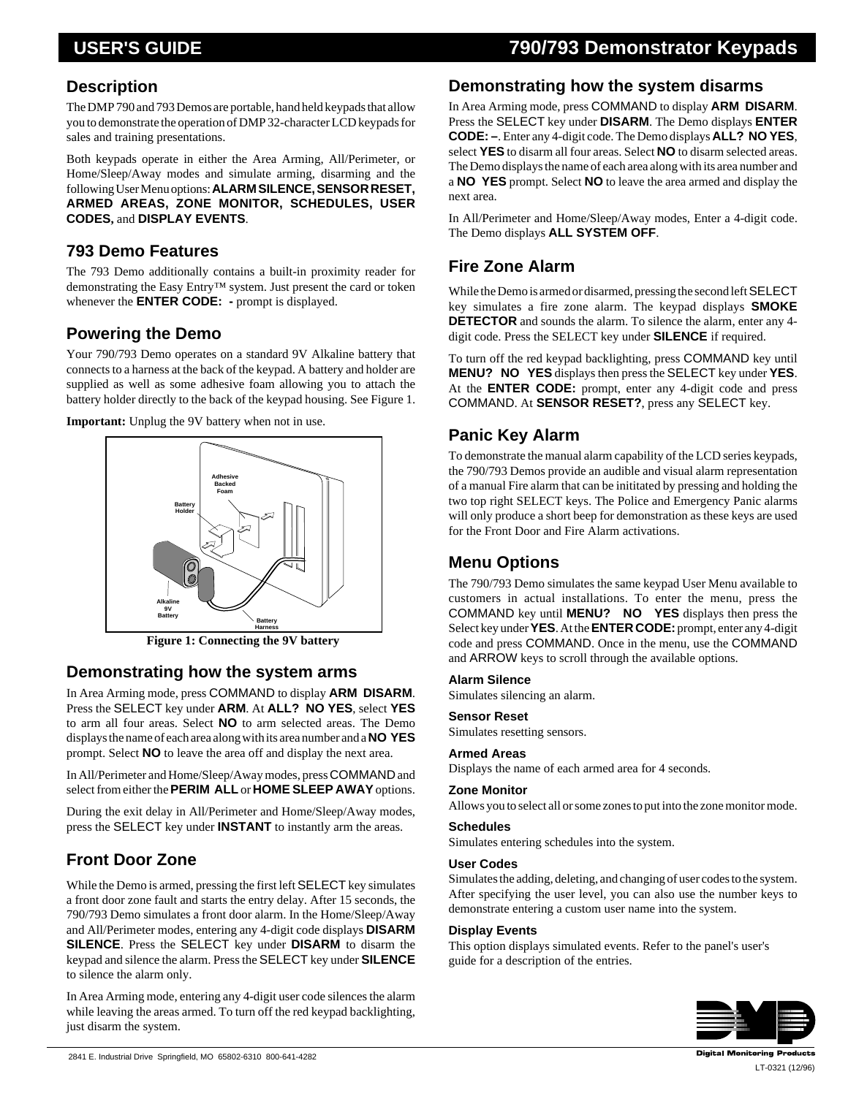# **USER'S GUIDE 790/793 Demonstrator Keypads**

### **Description**

**DESCITPHOIT**<br>The DMP 790 and 793 Demos are portable, hand held keypads that a<br>you to demonstrate the operation of DMP 32-character LCD keypac The DMP 790 and 793 Demos are portable, hand held keypads that allow you to demonstrate the operation of DMP 32-character LCD keypads for sales and training presentations.

Both keypads operate in either the Area Arming, All/Perimeter, or Home/Sleep/Away modes and simulate arming, disarming and the following User Menu options: **ALARM SILENCE, SENSOR RESET, ARMED AREAS, ZONE MONITOR, SCHEDULES, USER CODES,** and **DISPLAY EVENTS**.

### **793 Demo Features**

The 793 Demo additionally contains a built-in proximity reader for demonstrating the Easy Entry™ system. Just present the card or token whenever the **ENTER CODE: -** prompt is displayed.

### **Powering the Demo**

Your 790/793 Demo operates on a standard 9V Alkaline battery that connects to a harness at the back of the keypad. A battery and holder are supplied as well as some adhesive foam allowing you to attach the battery holder directly to the back of the keypad housing. See Figure 1.

**Important:** Unplug the 9V battery when not in use.



**Figure 1: Connecting the 9V battery**

### **Demonstrating how the system arms**

In Area Arming mode, press COMMAND to display **ARM DISARM**. Press the SELECT key under **ARM**. At **ALL? NO YES**, select **YES** to arm all four areas. Select **NO** to arm selected areas. The Demo displays the name of each area along with its area number and a **NO YES** prompt. Select **NO** to leave the area off and display the next area.

In All/Perimeter and Home/Sleep/Away modes, press COMMAND and select from either the **PERIM ALL** or **HOME SLEEP AWAY** options.

During the exit delay in All/Perimeter and Home/Sleep/Away modes, press the SELECT key under **INSTANT** to instantly arm the areas.

### **Front Door Zone**

While the Demo is armed, pressing the first left SELECT key simulates a front door zone fault and starts the entry delay. After 15 seconds, the 790/793 Demo simulates a front door alarm. In the Home/Sleep/Away and All/Perimeter modes, entering any 4-digit code displays **DISARM SILENCE**. Press the SELECT key under **DISARM** to disarm the keypad and silence the alarm. Press the SELECT key under **SILENCE** to silence the alarm only.

In Area Arming mode, entering any 4-digit user code silences the alarm while leaving the areas armed. To turn off the red keypad backlighting, just disarm the system.

### **Demonstrating how the system disarms**

In Area Arming mode, press COMMAND to display **ARM DISARM**. Press the SELECT key under **DISARM**. The Demo displays **ENTER CODE: –**. Enter any 4-digit code. The Demo displays **ALL? NO YES**, select **YES** to disarm all four areas. Select **NO** to disarm selected areas. The Demo displays the name of each area along with its area number and a **NO YES** prompt. Select **NO** to leave the area armed and display the next area.

In All/Perimeter and Home/Sleep/Away modes, Enter a 4-digit code. The Demo displays **ALL SYSTEM OFF**.

## **Fire Zone Alarm**

While the Demo is armed or disarmed, pressing the second left SELECT key simulates a fire zone alarm. The keypad displays **SMOKE DETECTOR** and sounds the alarm. To silence the alarm, enter any 4 digit code. Press the SELECT key under **SILENCE** if required.

To turn off the red keypad backlighting, press COMMAND key until **MENU? NO YES** displays then press the SELECT key under **YES**. At the **ENTER CODE:** prompt, enter any 4-digit code and press COMMAND. At **SENSOR RESET?**, press any SELECT key.

### **Panic Key Alarm**

To demonstrate the manual alarm capability of the LCD series keypads, the 790/793 Demos provide an audible and visual alarm representation of a manual Fire alarm that can be inititated by pressing and holding the two top right SELECT keys. The Police and Emergency Panic alarms will only produce a short beep for demonstration as these keys are used for the Front Door and Fire Alarm activations.

### **Menu Options**

The 790/793 Demo simulates the same keypad User Menu available to customers in actual installations. To enter the menu, press the COMMAND key until **MENU? NO YES** displays then press the Select key under **YES**. At the **ENTER CODE:** prompt, enter any 4-digit code and press COMMAND. Once in the menu, use the COMMAND and ARROW keys to scroll through the available options.

### **Alarm Silence**

Simulates silencing an alarm.

### **Sensor Reset**

Simulates resetting sensors.

#### **Armed Areas**

Displays the name of each armed area for 4 seconds.

#### **Zone Monitor**

Allows you to select all or some zones to put into the zone monitor mode.

#### **Schedules**

Simulates entering schedules into the system.

#### **User Codes**

Simulates the adding, deleting, and changing of user codes to the system. After specifying the user level, you can also use the number keys to demonstrate entering a custom user name into the system.

#### **Display Events**

This option displays simulated events. Refer to the panel's user's guide for a description of the entries.